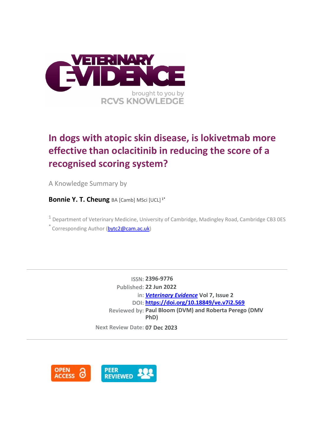

# **In dogs with atopic skin disease, is lokivetmab more effective than oclacitinib in reducing the score of a recognised scoring system?**

A Knowledge Summary by

**Bonnie Y. T. Cheung** BA [Camb] MSci [UCL]<sup>1\*</sup>

 $1$  Department of Veterinary Medicine, University of Cambridge, Madingley Road, Cambridge CB3 0ES \* Corresponding Author [\(bytc2@cam.ac.uk\)](bytc2@cam.ac.uk)

> **ISSN: 2396-9776 Published: 22 Jun 2022 in:** *[Veterinary Evidence](https://veterinaryevidence.org/index.php/ve)* **Vol 7, Issue 2 DOI: <https://doi.org/10.18849/ve.v7i2.569> Reviewed by: Paul Bloom (DVM) and Roberta Perego (DMV PhD)**

**Next Review Date: 07 Dec 2023**

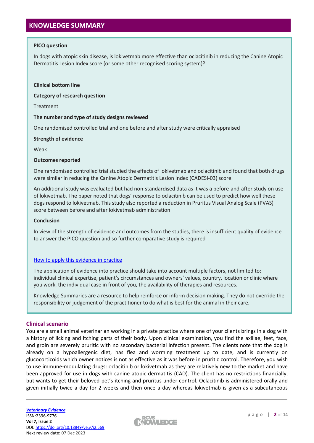# **KNOWLEDGE SUMMARY**

# **PICO question**

In dogs with atopic skin disease, is lokivetmab more effective than oclacitinib in reducing the Canine Atopic Dermatitis Lesion Index score (or some other recognised scoring system)?

#### **Clinical bottom line**

**Category of research question**

Treatment

## **The number and type of study designs reviewed**

One randomised controlled trial and one before and after study were critically appraised

## **Strength of evidence**

Weak

## **Outcomes reported**

One randomised controlled trial studied the effects of lokivetmab and oclacitinib and found that both drugs were similar in reducing the Canine Atopic Dermatitis Lesion Index (CADESI-03) score.

An additional study was evaluated but had non-standardised data as it was a before-and-after study on use of lokivetmab. The paper noted that dogs' response to oclacitinib can be used to predict how well these dogs respond to lokivetmab. This study also reported a reduction in Pruritus Visual Analog Scale (PVAS) score between before and after lokivetmab administration

## **Conclusion**

In view of the strength of evidence and outcomes from the studies, there is insufficient quality of evidence to answer the PICO question and so further comparative study is required

# [How to apply this evidence in practice](https://learn.rcvsknowledge.org/mod/book/view.php?id=50)

The application of evidence into practice should take into account multiple factors, not limited to: individual clinical expertise, patient's circumstances and owners' values, country, location or clinic where you work, the individual case in front of you, the availability of therapies and resources.

Knowledge Summaries are a resource to help reinforce or inform decision making. They do not override the responsibility or judgement of the practitioner to do what is best for the animal in their care.

# **Clinical scenario**

You are a small animal veterinarian working in a private practice where one of your clients brings in a dog with a history of licking and itching parts of their body. Upon clinical examination, you find the axillae, feet, face, and groin are severely pruritic with no secondary bacterial infection present. The clients note that the dog is already on a hypoallergenic diet, has flea and worming treatment up to date, and is currently on glucocorticoids which owner notices is not as effective as it was before in pruritic control. Therefore, you wish to use immune-modulating drugs: oclacitinib or lokivetmab as they are relatively new to the market and have been approved for use in dogs with canine atopic dermatitis (CAD). The client has no restrictions financially, but wants to get their beloved pet's itching and pruritus under control. Oclacitinib is administered orally and given initially twice a day for 2 weeks and then once a day whereas lokivetmab is given as a subcutaneous

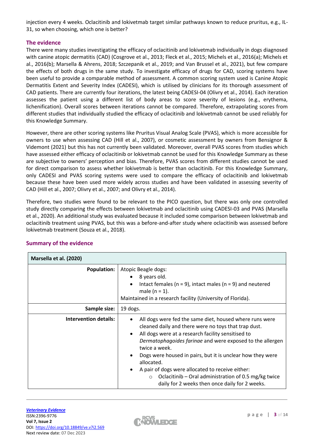injection every 4 weeks. Oclacitinib and lokivetmab target similar pathways known to reduce pruritus, e.g., IL-31, so when choosing, which one is better?

# **The evidence**

There were many studies investigating the efficacy of oclacitinib and lokivetmab individually in dogs diagnosed with canine atopic dermatitis (CAD) (Cosgrove et al., 2013; Fleck et al., 2015; Michels et al., 2016(a); Michels et al., 2016(b); Marsella & Ahrens, 2018; Szczepanik et al., 2019; and Van Brussel et al., 2021), but few compare the effects of both drugs in the same study. To investigate efficacy of drugs for CAD, scoring systems have been useful to provide a comparable method of assessment. A common scoring system used is Canine Atopic Dermatitis Extent and Severity Index (CADESI), which is utilised by clinicians for its thorough assessment of CAD patients. There are currently four iterations, the latest being CADESI-04 (Olivry et al., 2014). Each iteration assesses the patient using a different list of body areas to score severity of lesions (e.g., erythema, lichenification). Overall scores between iterations cannot be compared. Therefore, extrapolating scores from different studies that individually studied the efficacy of oclacitinib and lokivetmab cannot be used reliably for this Knowledge Summary.

However, there are other scoring systems like Pruritus Visual Analog Scale (PVAS), which is more accessible for owners to use when assessing CAD (Hill et al., 2007), or cosmetic assessment by owners from Bensignor & Videmont (2021) but this has not currently been validated. Moreover, overall PVAS scores from studies which have assessed either efficacy of oclacitinib or lokivetmab cannot be used for this Knowledge Summary as these are subjective to owners' perception and bias. Therefore, PVAS scores from different studies cannot be used for direct comparison to assess whether lokivetmab is better than oclacitinib. For this Knowledge Summary, only CADESI and PVAS scoring systems were used to compare the efficacy of oclacitinib and lokivetmab because these have been used more widely across studies and have been validated in assessing severity of CAD (Hill et al., 2007; Olivry et al., 2007; and Olivry et al., 2014).

Therefore, two studies were found to be relevant to the PICO question, but there was only one controlled study directly comparing the effects between lokivetmab and oclacitinib using CADESI-03 and PVAS (Marsella et al., 2020). An additional study was evaluated because it included some comparison between lokivetmab and oclacitinib treatment using PVAS, but this was a before-and-after study where oclacitinib was assessed before lokivetmab treatment (Souza et al., 2018).

| Marsella et al. (2020)       |                                                                                                                                                                                                                                                                                                                                                                                                                                                                                                          |  |  |  |
|------------------------------|----------------------------------------------------------------------------------------------------------------------------------------------------------------------------------------------------------------------------------------------------------------------------------------------------------------------------------------------------------------------------------------------------------------------------------------------------------------------------------------------------------|--|--|--|
| <b>Population:</b>           | Atopic Beagle dogs:<br>8 years old.<br>Intact females ( $n = 9$ ), intact males ( $n = 9$ ) and neutered<br>male $(n = 1)$ .<br>Maintained in a research facility (University of Florida).                                                                                                                                                                                                                                                                                                               |  |  |  |
| Sample size:                 | 19 dogs.                                                                                                                                                                                                                                                                                                                                                                                                                                                                                                 |  |  |  |
| <b>Intervention details:</b> | All dogs were fed the same diet, housed where runs were<br>cleaned daily and there were no toys that trap dust.<br>All dogs were at a research facility sensitised to<br>Dermatophagoides farinae and were exposed to the allergen<br>twice a week.<br>Dogs were housed in pairs, but it is unclear how they were<br>allocated.<br>A pair of dogs were allocated to receive either:<br>Oclacitinib – Oral administration of 0.5 mg/kg twice<br>$\circ$<br>daily for 2 weeks then once daily for 2 weeks. |  |  |  |

# **Summary of the evidence**

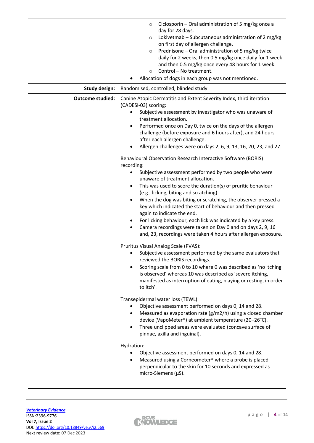|                         | Ciclosporin - Oral administration of 5 mg/kg once a<br>$\circ$<br>day for 28 days.<br>Lokivetmab - Subcutaneous administration of 2 mg/kg<br>O<br>on first day of allergen challenge.<br>Prednisone - Oral administration of 5 mg/kg twice<br>$\circ$<br>daily for 2 weeks, then 0.5 mg/kg once daily for 1 week<br>and then 0.5 mg/kg once every 48 hours for 1 week.<br>Control - No treatment.<br>$\circ$<br>Allocation of dogs in each group was not mentioned.                                                                                                                                                                                                                                                                                                                                                                                                                                                                                                                                                                                                                                                                                                                                                                                                                                                                                                                                                                                                                                                                                                                                                                                                                                                                                                                                                                                                                                                                                                                                                                                                            |  |  |  |  |
|-------------------------|--------------------------------------------------------------------------------------------------------------------------------------------------------------------------------------------------------------------------------------------------------------------------------------------------------------------------------------------------------------------------------------------------------------------------------------------------------------------------------------------------------------------------------------------------------------------------------------------------------------------------------------------------------------------------------------------------------------------------------------------------------------------------------------------------------------------------------------------------------------------------------------------------------------------------------------------------------------------------------------------------------------------------------------------------------------------------------------------------------------------------------------------------------------------------------------------------------------------------------------------------------------------------------------------------------------------------------------------------------------------------------------------------------------------------------------------------------------------------------------------------------------------------------------------------------------------------------------------------------------------------------------------------------------------------------------------------------------------------------------------------------------------------------------------------------------------------------------------------------------------------------------------------------------------------------------------------------------------------------------------------------------------------------------------------------------------------------|--|--|--|--|
| <b>Study design:</b>    | Randomised, controlled, blinded study.                                                                                                                                                                                                                                                                                                                                                                                                                                                                                                                                                                                                                                                                                                                                                                                                                                                                                                                                                                                                                                                                                                                                                                                                                                                                                                                                                                                                                                                                                                                                                                                                                                                                                                                                                                                                                                                                                                                                                                                                                                         |  |  |  |  |
| <b>Outcome studied:</b> | Canine Atopic Dermatitis and Extent Severity Index, third iteration<br>(CADESI-03) scoring:<br>Subjective assessment by investigator who was unaware of<br>$\bullet$<br>treatment allocation.<br>Performed once on Day 0, twice on the days of the allergen<br>challenge (before exposure and 6 hours after), and 24 hours<br>after each allergen challenge.<br>Allergen challenges were on days 2, 6, 9, 13, 16, 20, 23, and 27.<br>$\bullet$<br>Behavioural Observation Research Interactive Software (BORIS)<br>recording:<br>Subjective assessment performed by two people who were<br>$\bullet$<br>unaware of treatment allocation.<br>This was used to score the duration(s) of pruritic behaviour<br>$\bullet$<br>(e.g., licking, biting and scratching).<br>When the dog was biting or scratching, the observer pressed a<br>$\bullet$<br>key which indicated the start of behaviour and then pressed<br>again to indicate the end.<br>For licking behaviour, each lick was indicated by a key press.<br>Camera recordings were taken on Day 0 and on days 2, 9, 16<br>and, 23, recordings were taken 4 hours after allergen exposure.<br>Pruritus Visual Analog Scale (PVAS):<br>Subjective assessment performed by the same evaluators that<br>reviewed the BORIS recordings.<br>Scoring scale from 0 to 10 where 0 was described as 'no itching<br>$\bullet$<br>is observed' whereas 10 was described as 'severe itching,<br>manifested as interruption of eating, playing or resting, in order<br>to itch'.<br>Transepidermal water loss (TEWL):<br>Objective assessment performed on days 0, 14 and 28.<br>Measured as evaporation rate $(g/m2/h)$ using a closed chamber<br>$\bullet$<br>device (VapoMeter®) at ambient temperature (20-26°C).<br>Three unclipped areas were evaluated (concave surface of<br>$\bullet$<br>pinnae, axilla and inguinal).<br>Hydration:<br>Objective assessment performed on days 0, 14 and 28.<br>Measured using a Corneometer <sup>®</sup> where a probe is placed<br>perpendicular to the skin for 10 seconds and expressed as |  |  |  |  |

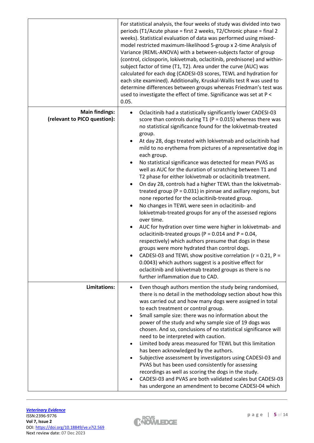|                                                       | For statistical analysis, the four weeks of study was divided into two<br>periods (T1/Acute phase = first 2 weeks, T2/Chronic phase = final 2<br>weeks). Statistical evaluation of data was performed using mixed-<br>model restricted maximum-likelihood 5-group x 2-time Analysis of<br>Variance (REML-ANOVA) with a between-subjects factor of group<br>(control, ciclosporin, lokivetmab, oclacitinib, prednisone) and within-<br>subject factor of time (T1, T2). Area under the curve (AUC) was<br>calculated for each dog (CADESI-03 scores, TEWL and hydration for<br>each site examined). Additionally, Kruskal-Wallis test R was used to<br>determine differences between groups whereas Friedman's test was<br>used to investigate the effect of time. Significance was set at P <<br>0.05.                                                                                                                                                                                                                                                                                                                                                                                                                                                                                                                                                                |
|-------------------------------------------------------|-----------------------------------------------------------------------------------------------------------------------------------------------------------------------------------------------------------------------------------------------------------------------------------------------------------------------------------------------------------------------------------------------------------------------------------------------------------------------------------------------------------------------------------------------------------------------------------------------------------------------------------------------------------------------------------------------------------------------------------------------------------------------------------------------------------------------------------------------------------------------------------------------------------------------------------------------------------------------------------------------------------------------------------------------------------------------------------------------------------------------------------------------------------------------------------------------------------------------------------------------------------------------------------------------------------------------------------------------------------------------|
| <b>Main findings:</b><br>(relevant to PICO question): | Oclacitinib had a statistically significantly lower CADESI-03<br>$\bullet$<br>score than controls during $T1$ (P = 0.015) whereas there was<br>no statistical significance found for the lokivetmab-treated<br>group.<br>At day 28, dogs treated with lokivetmab and oclacitinib had<br>mild to no erythema from pictures of a representative dog in<br>each group.<br>No statistical significance was detected for mean PVAS as<br>$\bullet$<br>well as AUC for the duration of scratching between T1 and<br>T2 phase for either lokivetmab or oclacitinib treatment.<br>On day 28, controls had a higher TEWL than the lokivetmab-<br>treated group ( $P = 0.031$ ) in pinnae and axillary regions, but<br>none reported for the oclacitinib-treated group.<br>No changes in TEWL were seen in oclacitinib- and<br>٠<br>lokivetmab-treated groups for any of the assessed regions<br>over time.<br>AUC for hydration over time were higher in lokivetmab- and<br>oclacitinib-treated groups ( $P = 0.014$ and $P = 0.04$ ,<br>respectively) which authors presume that dogs in these<br>groups were more hydrated than control dogs.<br>CADESI-03 and TEWL show positive correlation ( $r = 0.21$ , $P =$<br>0.0043) which authors suggest is a positive effect for<br>oclacitinib and lokivetmab treated groups as there is no<br>further inflammation due to CAD. |
| Limitations:                                          | Even though authors mention the study being randomised,<br>there is no detail in the methodology section about how this<br>was carried out and how many dogs were assigned in total<br>to each treatment or control group.<br>Small sample size: there was no information about the<br>power of the study and why sample size of 19 dogs was<br>chosen. And so, conclusions of no statistical significance will<br>need to be interpreted with caution.<br>Limited body areas measured for TEWL but this limitation<br>has been acknowledged by the authors.<br>Subjective assessment by investigators using CADESI-03 and<br>$\bullet$<br>PVAS but has been used consistently for assessing<br>recordings as well as scoring the dogs in the study.<br>CADESI-03 and PVAS are both validated scales but CADESI-03<br>has undergone an amendment to become CADESI-04 which                                                                                                                                                                                                                                                                                                                                                                                                                                                                                            |

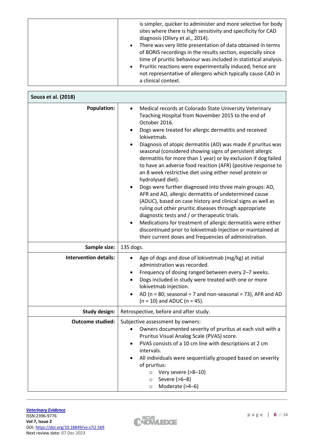| is simpler, quicker to administer and more selective for body<br>sites where there is high sensitivity and specificity for CAD<br>diagnosis (Olivry et al., 2014).<br>There was very little presentation of data obtained in terms<br>$\bullet$<br>of BORIS recordings in the results section, especially since<br>time of pruritic behaviour was included in statistical analysis.<br>Pruritic reactions were experimentally induced, hence are<br>$\bullet$<br>not representative of allergens which typically cause CAD in |
|-------------------------------------------------------------------------------------------------------------------------------------------------------------------------------------------------------------------------------------------------------------------------------------------------------------------------------------------------------------------------------------------------------------------------------------------------------------------------------------------------------------------------------|
| a clinical context.                                                                                                                                                                                                                                                                                                                                                                                                                                                                                                           |

| Souza et al. (2018)          |                                                                                                                                                                                                                                                                                                                                                                                                                                                                                                                                                                                                                                                                                                                                                                                                                                                                                                                                                                                                                                                                                       |  |  |  |  |
|------------------------------|---------------------------------------------------------------------------------------------------------------------------------------------------------------------------------------------------------------------------------------------------------------------------------------------------------------------------------------------------------------------------------------------------------------------------------------------------------------------------------------------------------------------------------------------------------------------------------------------------------------------------------------------------------------------------------------------------------------------------------------------------------------------------------------------------------------------------------------------------------------------------------------------------------------------------------------------------------------------------------------------------------------------------------------------------------------------------------------|--|--|--|--|
| <b>Population:</b>           | Medical records at Colorado State University Veterinary<br>$\bullet$<br>Teaching Hospital from November 2015 to the end of<br>October 2016.<br>Dogs were treated for allergic dermatitis and received<br>$\bullet$<br>lokivetmab.<br>Diagnosis of atopic dermatitis (AD) was made if pruritus was<br>seasonal (considered showing signs of persistent allergic<br>dermatitis for more than 1 year) or by exclusion if dog failed<br>to have an adverse food reaction (AFR) (positive response to<br>an 8 week restrictive diet using either novel protein or<br>hydrolysed diet).<br>Dogs were further diagnosed into three main groups: AD,<br>$\bullet$<br>AFR and AD, allergic dermatitis of undetermined cause<br>(ADUC), based on case history and clinical signs as well as<br>ruling out other pruritic diseases through appropriate<br>diagnostic tests and / or therapeutic trials.<br>Medications for treatment of allergic dermatitis were either<br>discontinued prior to lokivetmab injection or maintained at<br>their current doses and frequencies of administration. |  |  |  |  |
| Sample size:                 | 135 dogs.                                                                                                                                                                                                                                                                                                                                                                                                                                                                                                                                                                                                                                                                                                                                                                                                                                                                                                                                                                                                                                                                             |  |  |  |  |
| <b>Intervention details:</b> | Age of dogs and dose of lokivetmab (mg/kg) at initial<br>administration was recorded.<br>Frequency of dosing ranged between every 2-7 weeks.<br>٠<br>Dogs included in study were treated with one or more<br>lokivetmab injection.<br>AD ( $n = 80$ ; seasonal = 7 and non-seasonal = 73), AFR and AD<br>$(n = 10)$ and ADUC $(n = 45)$ .                                                                                                                                                                                                                                                                                                                                                                                                                                                                                                                                                                                                                                                                                                                                             |  |  |  |  |
| <b>Study design:</b>         | Retrospective, before and after study.                                                                                                                                                                                                                                                                                                                                                                                                                                                                                                                                                                                                                                                                                                                                                                                                                                                                                                                                                                                                                                                |  |  |  |  |
| <b>Outcome studied:</b>      | Subjective assessment by owners:<br>• Owners documented severity of pruritus at each visit with a<br>Pruritus Visual Analog Scale (PVAS) score.<br>PVAS consists of a 10 cm line with descriptions at 2 cm<br>$\bullet$<br>intervals.<br>All individuals were sequentially grouped based on severity<br>of pruritus:<br>Very severe (>8-10)<br>$\circ$<br>Severe (>6-8)<br>$\circ$                                                                                                                                                                                                                                                                                                                                                                                                                                                                                                                                                                                                                                                                                                    |  |  |  |  |

 $\mathsf{r}$ 

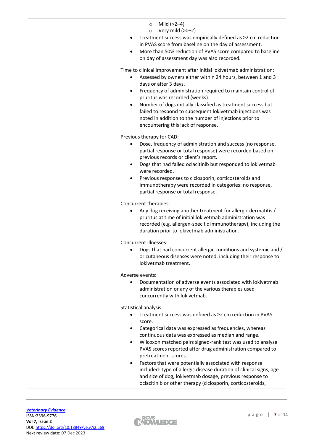| Mild (>2-4)<br>$\circ$<br>Very mild (>0-2)<br>$\circ$<br>Treatment success was empirically defined as ≥2 cm reduction<br>in PVAS score from baseline on the day of assessment.<br>More than 50% reduction of PVAS score compared to baseline<br>$\bullet$<br>on day of assessment day was also recorded.                                                                                                                                                                                                                                                                                                                                              |
|-------------------------------------------------------------------------------------------------------------------------------------------------------------------------------------------------------------------------------------------------------------------------------------------------------------------------------------------------------------------------------------------------------------------------------------------------------------------------------------------------------------------------------------------------------------------------------------------------------------------------------------------------------|
| Time to clinical improvement after initial lokivetmab administration:<br>Assessed by owners either within 24 hours, between 1 and 3<br>days or after 3 days.<br>Frequency of administration required to maintain control of<br>$\bullet$<br>pruritus was recorded (weeks).<br>Number of dogs initially classified as treatment success but<br>$\bullet$<br>failed to respond to subsequent lokivetmab injections was<br>noted in addition to the number of injections prior to<br>encountering this lack of response.                                                                                                                                 |
| Previous therapy for CAD:<br>Dose, frequency of administration and success (no response,<br>٠<br>partial response or total response) were recorded based on<br>previous records or client's report.<br>Dogs that had failed oclacitinib but responded to lokivetmab<br>$\bullet$<br>were recorded.<br>Previous responses to ciclosporin, corticosteroids and<br>$\bullet$<br>immunotherapy were recorded in categories: no response,<br>partial response or total response.                                                                                                                                                                           |
| Concurrent therapies:<br>Any dog receiving another treatment for allergic dermatitis /<br>pruritus at time of initial lokivetmab administration was<br>recorded (e.g. allergen-specific immunotherapy), including the<br>duration prior to lokivetmab administration.                                                                                                                                                                                                                                                                                                                                                                                 |
| Concurrent illnesses:<br>Dogs that had concurrent allergic conditions and systemic and /<br>$\bullet$<br>or cutaneous diseases were noted, including their response to<br>lokivetmab treatment.                                                                                                                                                                                                                                                                                                                                                                                                                                                       |
| Adverse events:<br>Documentation of adverse events associated with lokivetmab<br>administration or any of the various therapies used<br>concurrently with lokivetmab.                                                                                                                                                                                                                                                                                                                                                                                                                                                                                 |
| Statistical analysis:<br>Treatment success was defined as ≥2 cm reduction in PVAS<br>score.<br>Categorical data was expressed as frequencies, whereas<br>$\bullet$<br>continuous data was expressed as median and range.<br>Wilcoxon matched pairs signed-rank test was used to analyse<br>$\bullet$<br>PVAS scores reported after drug administration compared to<br>pretreatment scores.<br>Factors that were potentially associated with response<br>included: type of allergic disease duration of clinical signs, age<br>and size of dog, lokivetmab dosage, previous response to<br>oclacitinib or other therapy (ciclosporin, corticosteroids, |

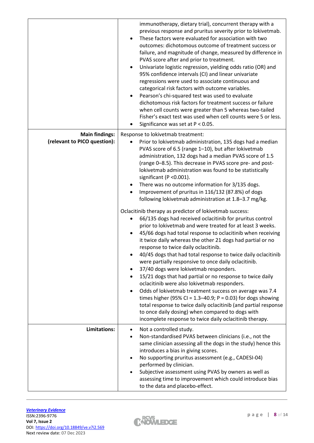|                                                       | immunotherapy, dietary trial), concurrent therapy with a<br>previous response and pruritus severity prior to lokivetmab.<br>These factors were evaluated for association with two<br>outcomes: dichotomous outcome of treatment success or<br>failure, and magnitude of change, measured by difference in<br>PVAS score after and prior to treatment.<br>Univariate logistic regression, yielding odds ratio (OR) and<br>$\bullet$<br>95% confidence intervals (CI) and linear univariate<br>regressions were used to associate continuous and<br>categorical risk factors with outcome variables.<br>Pearson's chi-squared test was used to evaluate<br>dichotomous risk factors for treatment success or failure<br>when cell counts were greater than 5 whereas two-tailed<br>Fisher's exact test was used when cell counts were 5 or less.<br>Significance was set at $P < 0.05$ .<br>٠                                                                                                                                                                                                                                                                                                                                                                                                                                                                                                                                                                                                                          |
|-------------------------------------------------------|----------------------------------------------------------------------------------------------------------------------------------------------------------------------------------------------------------------------------------------------------------------------------------------------------------------------------------------------------------------------------------------------------------------------------------------------------------------------------------------------------------------------------------------------------------------------------------------------------------------------------------------------------------------------------------------------------------------------------------------------------------------------------------------------------------------------------------------------------------------------------------------------------------------------------------------------------------------------------------------------------------------------------------------------------------------------------------------------------------------------------------------------------------------------------------------------------------------------------------------------------------------------------------------------------------------------------------------------------------------------------------------------------------------------------------------------------------------------------------------------------------------------|
| <b>Main findings:</b><br>(relevant to PICO question): | Response to lokivetmab treatment:<br>Prior to lokivetmab administration, 135 dogs had a median<br>PVAS score of 6.5 (range 1-10), but after lokivetmab<br>administration, 132 dogs had a median PVAS score of 1.5<br>(range 0-8.5). This decrease in PVAS score pre- and post-<br>lokivetmab administration was found to be statistically<br>significant (P < 0.001).<br>There was no outcome information for 3/135 dogs.<br>Improvement of pruritus in 116/132 (87.8%) of dogs<br>following lokivetmab administration at 1.8-3.7 mg/kg.<br>Oclacitinib therapy as predictor of lokivetmab success:<br>66/135 dogs had received oclacitinib for pruritus control<br>٠<br>prior to lokivetmab and were treated for at least 3 weeks.<br>45/66 dogs had total response to oclacitinib when receiving<br>it twice daily whereas the other 21 dogs had partial or no<br>response to twice daily oclacitinib.<br>40/45 dogs that had total response to twice daily oclacitinib<br>were partially responsive to once daily oclacitinib.<br>37/40 dogs were lokivetmab responders.<br>15/21 dogs that had partial or no response to twice daily<br>oclacitinib were also lokivetmab responders.<br>Odds of lokivetmab treatment success on average was 7.4<br>$\bullet$<br>times higher (95% CI = $1.3-40.9$ ; P = 0.03) for dogs showing<br>total response to twice daily oclacitinib (and partial response<br>to once daily dosing) when compared to dogs with<br>incomplete response to twice daily oclacitinib therapy. |
| Limitations:                                          | Not a controlled study.<br>٠<br>Non-standardised PVAS between clinicians (i.e., not the<br>$\bullet$                                                                                                                                                                                                                                                                                                                                                                                                                                                                                                                                                                                                                                                                                                                                                                                                                                                                                                                                                                                                                                                                                                                                                                                                                                                                                                                                                                                                                 |
|                                                       | same clinician assessing all the dogs in the study) hence this<br>introduces a bias in giving scores.<br>No supporting pruritus assessment (e.g., CADESI-04)<br>$\bullet$<br>performed by clinician.<br>Subjective assessment using PVAS by owners as well as<br>assessing time to improvement which could introduce bias<br>to the data and placebo-effect.                                                                                                                                                                                                                                                                                                                                                                                                                                                                                                                                                                                                                                                                                                                                                                                                                                                                                                                                                                                                                                                                                                                                                         |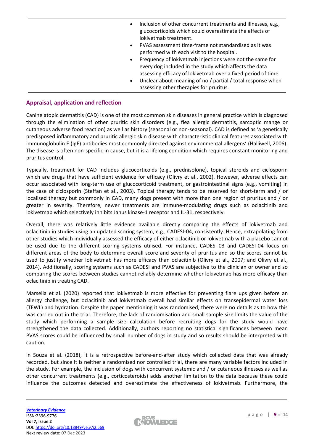| Inclusion of other concurrent treatments and illnesses, e.g.,<br>$\bullet$<br>glucocorticoids which could overestimate the effects of<br>lokivetmab treatment.<br>PVAS assessment time-frame not standardised as it was<br>$\bullet$<br>performed with each visit to the hospital.                                      |
|-------------------------------------------------------------------------------------------------------------------------------------------------------------------------------------------------------------------------------------------------------------------------------------------------------------------------|
| Frequency of lokivetmab injections were not the same for<br>$\bullet$<br>every dog included in the study which affects the data<br>assessing efficacy of lokivetmab over a fixed period of time.<br>Unclear about meaning of no / partial / total response when<br>$\bullet$<br>assessing other therapies for pruritus. |

# **Appraisal, application and reflection**

Canine atopic dermatitis (CAD) is one of the most common skin diseases in general practice which is diagnosed through the elimination of other pruritic skin disorders (e.g., flea allergic dermatitis, sarcoptic mange or cutaneous adverse food reaction) as well as history (seasonal or non-seasonal). CAD is defined as 'a genetically predisposed inflammatory and pruritic allergic skin disease with characteristic clinical features associated with immunoglobulin E (IgE) antibodies most commonly directed against environmental allergens' (Halliwell, 2006). The disease is often non-specific in cause, but it is a lifelong condition which requires constant monitoring and pruritus control.

Typically, treatment for CAD includes glucocorticoids (e.g., prednisolone), topical steroids and ciclosporin which are drugs that have sufficient evidence for efficacy (Olivry et al., 2002). However, adverse effects can occur associated with long-term use of glucocorticoid treatment, or gastrointestinal signs (e.g., vomiting) in the case of ciclosporin (Steffan et al., 2003). Topical therapy tends to be reserved for short-term and / or localised therapy but commonly in CAD, many dogs present with more than one region of pruritus and / or greater in severity. Therefore, newer treatments are immune-modulating drugs such as oclacitinib and lokivetmab which selectively inhibits Janus kinase-1 receptor and IL-31, respectively.

Overall, there was relatively little evidence available directly comparing the effects of lokivetmab and oclacitinib in studies using an updated scoring system, e.g., CADESI-04, consistently. Hence, extrapolating from other studies which individually assessed the efficacy of either oclacitinib or lokivetmab with a placebo cannot be used due to the different scoring systems utilised. For instance, CADESI-03 and CADESI-04 focus on different areas of the body to determine overall score and severity of pruritus and so the scores cannot be used to justify whether lokivetmab has more efficacy than oclacitinib (Olivry et al., 2007; and Olivry et al., 2014). Additionally, scoring systems such as CADESI and PVAS are subjective to the clinician or owner and so comparing the scores between studies cannot reliably determine whether lokivetmab has more efficacy than oclacitinib in treating CAD.

Marsella et al. (2020) reported that lokivetmab is more effective for preventing flare ups given before an allergy challenge, but oclacitinib and lokivetmab overall had similar effects on transepidermal water loss (TEWL) and hydration. Despite the paper mentioning it was randomised, there were no details as to how this was carried out in the trial. Therefore, the lack of randomisation and small sample size limits the value of the study which performing a sample size calculation before recruiting dogs for the study would have strengthened the data collected. Additionally, authors reporting no statistical significances between mean PVAS scores could be influenced by small number of dogs in study and so results should be interpreted with caution.

In Souza et al. (2018), it is a retrospective before-and-after study which collected data that was already recorded, but since it is neither a randomised nor controlled trial, there are many variable factors included in the study. For example, the inclusion of dogs with concurrent systemic and / or cutaneous illnesses as well as other concurrent treatments (e.g., corticosteroids) adds another limitation to the data because these could influence the outcomes detected and overestimate the effectiveness of lokivetmab. Furthermore, the

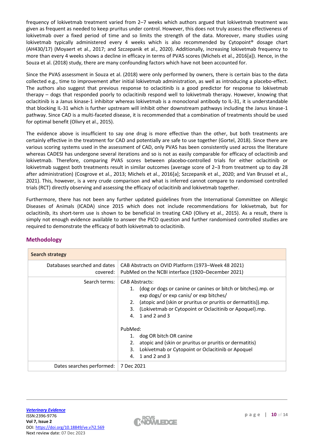frequency of lokivetmab treatment varied from 2–7 weeks which authors argued that lokivetmab treatment was given as frequent as needed to keep pruritus under control. However, this does not truly assess the effectiveness of lokivetmab over a fixed period of time and so limits the strength of the data. Moreover, many studies using lokivetmab typically administered every 4 weeks which is also recommended by Cytopoint® dosage chart (AH430/17) (Moyaert et al., 2017; and Szczepanik et al., 2020). Additionally, increasing lokivetmab frequency to more than every 4 weeks shows a decline in efficacy in terms of PVAS scores (Michels et al., 2016[a]). Hence, in the Souza et al. (2018) study, there are many confounding factors which have not been accounted for.

Since the PVAS assessment in Souza et al. (2018) were only performed by owners, there is certain bias to the data collected e.g., time to improvement after initial lokivetmab administration, as well as introducing a placebo-effect. The authors also suggest that previous response to oclacitinib is a good predictor for response to lokivetmab therapy – dogs that responded poorly to oclacitinib respond well to lokivetmab therapy. However, knowing that oclacitinib is a Janus kinase-1 inhibitor whereas lokivetmab is a monoclonal antibody to IL-31, it is understandable that blocking IL-31 which is further upstream will inhibit other downstream pathways including the Janus kinase-1 pathway. Since CAD is a multi-faceted disease, it is recommended that a combination of treatments should be used for optimal benefit (Olivry et al., 2015).

The evidence above is insufficient to say one drug is more effective than the other, but both treatments are certainly effective in the treatment for CAD and potentially are safe to use together (Gortel, 2018). Since there are various scoring systems used in the assessment of CAD, only PVAS has been consistently used across the literature whereas CADESI has undergone several iterations and so is not as easily comparable for efficacy of oclacitinib and lokivetmab. Therefore, comparing PVAS scores between placebo-controlled trials for either oclacitinib or lokivetmab suggest both treatments result in similar outcomes (average score of 2–3 from treatment up to day 28 after administration) (Cosgrove et al., 2013; Michels et al., 2016[a]; Szczepanik et al., 2020; and Van Brussel et al., 2021). This, however, is a very crude comparison and what is inferred cannot compare to randomised controlled trials (RCT) directly observing and assessing the efficacy of oclacitinib and lokivetmab together.

Furthermore, there has not been any further updated guidelines from the International Committee on Allergic Diseases of Animals (ICADA) since 2015 which does not include recommendations for lokivetmab, but for oclacitinib, its short-term use is shown to be beneficial in treating CAD (Olivry et al., 2015). As a result, there is simply not enough evidence available to answer the PICO question and further randomised controlled studies are required to demonstrate the efficacy of both lokivetmab to oclacitinib.

| <b>Search strategy</b>                   |                                                                                                                                                                                                                                                                                                        |  |  |  |  |
|------------------------------------------|--------------------------------------------------------------------------------------------------------------------------------------------------------------------------------------------------------------------------------------------------------------------------------------------------------|--|--|--|--|
| Databases searched and dates<br>covered: | CAB Abstracts on OVID Platform (1973–Week 48 2021)<br>PubMed on the NCBI interface (1920-December 2021)                                                                                                                                                                                                |  |  |  |  |
| Search terms:                            | <b>CAB Abstracts:</b><br>(dog or dogs or canine or canines or bitch or bitches).mp. or<br>1.<br>exp dogs/ or exp canis/ or exp bitches/<br>(atopic and (skin or pruritus or pruritis or dermatitis)).mp.<br>2.<br>(Lokivetmab or Cytopoint or Oclacitinib or Apoquel).mp.<br>3.<br>1 and 2 and 3<br>4. |  |  |  |  |
|                                          | PubMed:<br>dog OR bitch OR canine<br>atopic and (skin or pruritus or pruritis or dermatitis)<br>2.<br>Lokivetmab or Cytopoint or Oclacitinib or Apoquel<br>3.<br>1 and 2 and 3<br>4.                                                                                                                   |  |  |  |  |
| Dates searches performed:                | 7 Dec 2021                                                                                                                                                                                                                                                                                             |  |  |  |  |

# **Methodology**

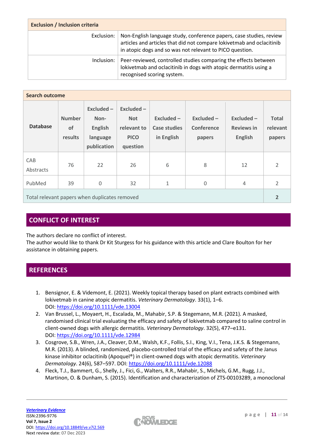| <b>Exclusion / Inclusion criteria</b> |                                                                                                                                                                                                          |  |  |  |
|---------------------------------------|----------------------------------------------------------------------------------------------------------------------------------------------------------------------------------------------------------|--|--|--|
| Exclusion:                            | Non-English language study, conference papers, case studies, review<br>articles and articles that did not compare lokivetmab and oclacitinib<br>in atopic dogs and so was not relevant to PICO question. |  |  |  |
| Inclusion:                            | Peer-reviewed, controlled studies comparing the effects between<br>lokivetmab and oclacitinib in dogs with atopic dermatitis using a<br>recognised scoring system.                                       |  |  |  |

| <b>Search outcome</b>                         |                                |                                                                |                                                                      |                                            |                                      |                                                     |                                    |
|-----------------------------------------------|--------------------------------|----------------------------------------------------------------|----------------------------------------------------------------------|--------------------------------------------|--------------------------------------|-----------------------------------------------------|------------------------------------|
| <b>Database</b>                               | <b>Number</b><br>of<br>results | Excluded-<br>Non-<br><b>English</b><br>language<br>publication | $Excluded -$<br><b>Not</b><br>relevant to<br><b>PICO</b><br>question | $Excluded -$<br>Case studies<br>in English | $Excluded -$<br>Conference<br>papers | $Excluded -$<br><b>Reviews in</b><br><b>English</b> | <b>Total</b><br>relevant<br>papers |
| CAB<br>Abstracts                              | 76                             | 22                                                             | 26                                                                   | 6                                          | 8                                    | 12                                                  | $\mathcal{P}$                      |
| PubMed                                        | 39                             | $\Omega$                                                       | 32                                                                   | 1                                          | $\Omega$                             | 4                                                   | $\mathcal{P}$                      |
| Total relevant papers when duplicates removed |                                |                                                                |                                                                      | $\overline{2}$                             |                                      |                                                     |                                    |

# **CONFLICT OF INTEREST**

The authors declare no conflict of interest.

The author would like to thank Dr Kit Sturgess for his guidance with this article and Clare Boulton for her assistance in obtaining papers.

# **REFERENCES**

- 1. Bensignor, E. & Videmont, E. (2021). Weekly topical therapy based on plant extracts combined with lokivetmab in canine atopic dermatitis. *Veterinary Dermatology*. 33(1), 1–6. DOI: <https://doi.org/10.1111/vde.13004>
- 2. Van Brussel, L., Moyaert, H., Escalada, M., Mahabir, S.P. & Stegemann, M.R. (2021). A masked, randomised clinical trial evaluating the efficacy and safety of lokivetmab compared to saline control in client‐owned dogs with allergic dermatitis. *Veterinary Dermatology*. 32(5), 477–e131. DOI: <https://doi.org/10.1111/vde.12984>
- 3. Cosgrove, S.B., Wren, J.A., Cleaver, D.M., Walsh, K.F., Follis, S.I., King, V.I., Tena, J.K.S. & Stegemann, M.R. (2013). A blinded, randomized, placebo-controlled trial of the efficacy and safety of the Janus kinase inhibitor oclacitinib (Apoquel®) in client-owned dogs with atopic dermatitis. *Veterinary Dermatology*. 24(6), 587–597. DOI: <https://doi.org/10.1111/vde.12088>
- 4. Fleck, T.J., Bammert, G., Shelly, J., Fici, G., Walters, R.R., Mahabir, S., Michels, G.M., Rugg, J.J., Martinon, O. & Dunham, S. (2015). Identification and characterization of ZTS-00103289, a monoclonal

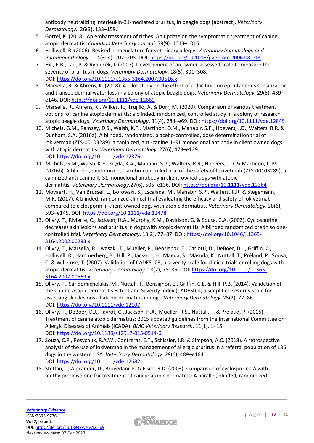antibody neutralizing interleukin-31-mediated pruritus, in beagle dogs (abstract). *Veterinary Dermatology.*, 26(3), 133–159.

- 5. Gortel, K. (2018). An embarrassment of riches: An update on the symptomatic treatment of canine atopic dermatitis. *Canadian Veterinary Journal*. 59(9): 1013–1016.
- 6. Halliwell, R. (2006). Revised nomenclature for veterinary allergy. *Veterinary Immunology and Immunopathology*. 114(3–4), 207–208. DOI: <https://doi.org/10.1016/j.vetimm.2006.08.013>
- 7. Hill, P.B., Lau, P. & Rybnicek, J. (2007). Development of an owner-assessed scale to measure the severity of pruritus in dogs. *Veterinary Dermatology*. 18(5), 301–308. DOI: <https://doi.org/10.1111/j.1365-3164.2007.00616.x>
- 8. Marsella, R. & Ahrens, K. (2018). A pilot study on the effect of oclacitinib on epicutaneous sensitization and transepidermal water loss in a colony of atopic beagle dogs. *Veterinary Dermatology*. 29(5), 439– e146. DOI: <https://doi.org/10.1111/vde.12660>
- 9. Marsella, R., Ahrens, K., Wilkes, R., Trujillo, A. & Dorr, M. (2020). Comparison of various treatment options for canine atopic dermatitis: a blinded, randomized, controlled study in a colony of research atopic beagle dogs. *Veterinary Dermatology*. 31(4), 284–e69. DOI: <https://doi.org/10.1111/vde.12849>
- 10. Michels, G.M., Ramsey, D.S., Walsh, K.F., Martinon, O.M., Mahabir, S.P., Hoevers, J.D., Walters, R.R. & Dunham, S.A. (2016a). A blinded, randomized, placebo-controlled, dose determination trial of lokivetmab (ZTS-00103289), a caninized, anti-canine IL-31 monoclonal antibody in client owned dogs with atopic dermatitis. *Veterinary Dermatology*. 27(6), 478–e129. DOI: <https://doi.org/10.1111/vde.12376>
- 11. Michels, G.M., Walsh, K.F., Kryda, K.A., Mahabir, S.P., Walters, R.R., Hoevers, J.D. & Martinon, O.M. (2016b). A blinded, randomized, placebo-controlled trial of the safety of lokivetmab (ZTS-00103289), a caninized anti-canine IL-31 monoclonal antibody in client-owned dogs with atopic dermatitis. *Veterinary Dermatology*.27(6), 505–e136. DOI: <https://doi.org/10.1111/vde.12364>
- 12. Moyaert, H., Van Brussel, L., Borowski, S., Escalada, M., Mahabir, S.P., Walters, R.R. & Stegemann, M.R. (2017). A blinded, randomized clinical trial evaluating the efficacy and safety of lokivetmab compared to ciclosporin in client-owned dogs with atopic dermatitis. *Veterinary Dermatology*. 28(6), 593–e145. DOI: <https://doi.org/10.1111/vde.12478>
- 13. Olivry, T., Rivierre, C., Jackson, H.A., Murphy, K.M., Davidson, G. & Sousa, C.A. (2002). Cyclosporine decreases skin lesions and pruritus in dogs with atopic dermatitis: A blinded randomized prednisolonecontrolled trial. *Veterinary Dermatology*. 13(2), 77–87. DOI: [https://doi.org/10.1046/j.1365-](https://doi.org/10.1046/j.1365-3164.2002.00283.x) [3164.2002.00283.x](https://doi.org/10.1046/j.1365-3164.2002.00283.x)
- 14. Olivry, T., Marsella, R., Iwasaki, T., Mueller, R., Bensignor, E., Carlotti, D., DeBoer, D.J., Griffin, C., Halliwell, R., Hammerberg, B., Hill, P., Jackson, H., Maeda, S., Masuda, K., Nuttall, T., Prélaud, P., Sousa, C. & Willemse, T. (2007). Validation of CADESI-03, a severity scale for clinical trials enrolling dogs with atopic dermatitis. *Veterinary Dermatology*. 18(2), 78–86. DOI: [https://doi.org/10.1111/j.1365-](https://doi.org/10.1111/j.1365-3164.2007.00569.x) [3164.2007.00569.x](https://doi.org/10.1111/j.1365-3164.2007.00569.x)
- 15. Olivry, T., Saridomichelakis, M., Nuttall, T., Bensignor, E., Griffin, C.E. & Hill, P.B. (2014). Validation of the Canine Atopic Dermatitis Extent and Severity Index (CADESI)-4, a simplified severity scale for assessing skin lesions of atopic dermatitis in dogs. *Veterinary Dermatology*. 25(2), 77–86. DOI: <https://doi.org/10.1111/vde.12107>
- 16. Olivry, T., DeBoer, D.J., Favrot, C., Jackson, H.A., Mueller, R.S., Nuttall, T. & Prélaud, P. (2015). Treatment of canine atopic dermatitis: 2015 updated guidelines from the International Committee on Allergic Diseases of Animals (ICADA). *BMC Veterinary Research*. 11(1), 1–15. DOI: <https://doi.org/10.1186/s12917-015-0514-6>
- 17. Souza, C.P., Rosychuk, R.A.W., Contreras, E.T., Schissler, J.R. & Simpson, A.C. (2018). A retrospective analysis of the use of lokivetmab in the management of allergic pruritus in a referral population of 135 dogs in the western USA. *Veterinary Dermatology*. 29(6), 489–e164. DOI: <https://doi.org/10.1111/vde.12682>
- 18. Steffan, J., Alexander, D., Brovedani, F. & Fisch, R.D. (2003). Comparison of cyclosporine A with methylprednisolone for treatment of canine atopic dermatitis: A parallel, blinded, randomized

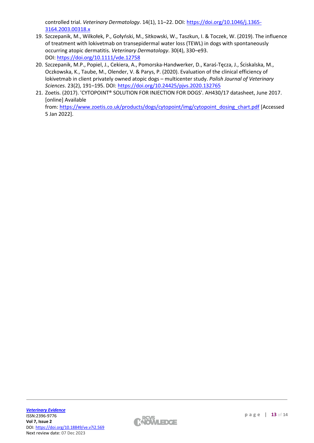controlled trial. *Veterinary Dermatology*. 14(1), 11–22. DOI: [https://doi.org/10.1046/j.1365-](https://doi.org/10.1046/j.1365-3164.2003.00318.x) [3164.2003.00318.x](https://doi.org/10.1046/j.1365-3164.2003.00318.x)

- 19. Szczepanik, M., Wilkołek, P., Gołyński, M., Sitkowski, W., Taszkun, I. & Toczek, W. (2019). The influence of treatment with lokivetmab on transepidermal water loss (TEWL) in dogs with spontaneously occurring atopic dermatitis. *Veterinary Dermatology*. 30(4), 330–e93. DOI: <https://doi.org/10.1111/vde.12758>
- 20. Szczepanik, M.P., Popiel, J., Cekiera, A., Pomorska-Handwerker, D., Karaś-Tęcza, J., Ściskalska, M., Oczkowska, K., Taube, M., Olender, V. & Parys, P. (2020). Evaluation of the clinical efficiency of lokivetmab in client privately owned atopic dogs – multicenter study. *Polish Journal of Veterinary Sciences*. 23(2), 191–195. DOI: <https://doi.org/10.24425/pjvs.2020.132765>
- 21. Zoetis. (2017). 'CYTOPOINT® SOLUTION FOR INJECTION FOR DOGS'. AH430/17 datasheet, June 2017. [online] Available from: [https://www.zoetis.co.uk/products/dogs/cytopoint/img/cytopoint\\_dosing\\_chart.pdf](https://www.zoetis.co.uk/products/dogs/cytopoint/img/cytopoint_dosing_chart.pdf) [Accessed 5 Jan 2022].